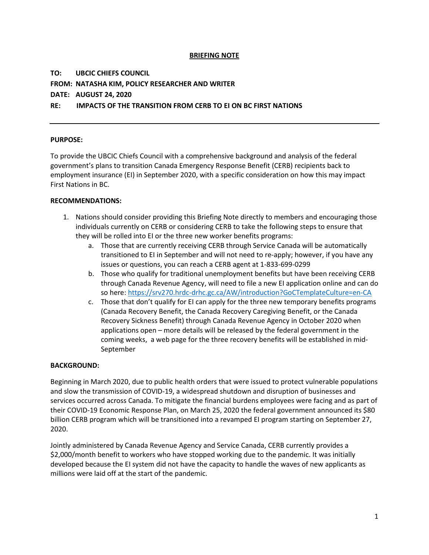## **BRIEFING NOTE**

## **TO: UBCIC CHIEFS COUNCIL FROM: NATASHA KIM, POLICY RESEARCHER AND WRITER DATE: AUGUST 24, 2020**

## **RE: IMPACTS OF THE TRANSITION FROM CERB TO EI ON BC FIRST NATIONS**

## **PURPOSE:**

To provide the UBCIC Chiefs Council with a comprehensive background and analysis of the federal government's plans to transition Canada Emergency Response Benefit (CERB) recipients back to employment insurance (EI) in September 2020, with a specific consideration on how this may impact First Nations in BC.

### **RECOMMENDATIONS:**

- 1. Nations should consider providing this Briefing Note directly to members and encouraging those individuals currently on CERB or considering CERB to take the following steps to ensure that they will be rolled into EI or the three new worker benefits programs:
	- a. Those that are currently receiving CERB through Service Canada will be automatically transitioned to EI in September and will not need to re-apply; however, if you have any issues or questions, you can reach a CERB agent at 1-833-699-0299
	- b. Those who qualify for traditional unemployment benefits but have been receiving CERB through Canada Revenue Agency, will need to file a new EI application online and can do so here[: https://srv270.hrdc-drhc.gc.ca/AW/introduction?GoCTemplateCulture=en-CA](https://srv270.hrdc-drhc.gc.ca/AW/introduction?GoCTemplateCulture=en-CA)
	- c. Those that don't qualify for EI can apply for the three new temporary benefits programs (Canada Recovery Benefit, the Canada Recovery Caregiving Benefit, or the Canada Recovery Sickness Benefit) through Canada Revenue Agency in October 2020 when applications open – more details will be released by the federal government in the coming weeks, a web page for the three recovery benefits will be established in mid-September

#### **BACKGROUND:**

Beginning in March 2020, due to public health orders that were issued to protect vulnerable populations and slow the transmission of COVID-19, a widespread shutdown and disruption of businesses and services occurred across Canada. To mitigate the financial burdens employees were facing and as part of their COVID-19 Economic Response Plan, on March 25, 2020 the federal government announced its \$80 billion CERB program which will be transitioned into a revamped EI program starting on September 27, 2020.

Jointly administered by Canada Revenue Agency and Service Canada, CERB currently provides a \$2,000/month benefit to workers who have stopped working due to the pandemic. It was initially developed because the EI system did not have the capacity to handle the waves of new applicants as millions were laid off at the start of the pandemic.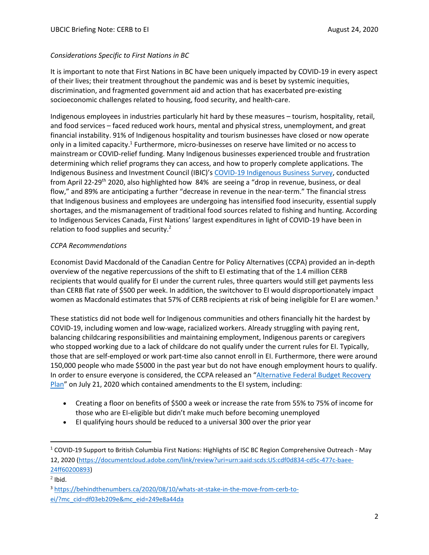## *Considerations Specific to First Nations in BC*

It is important to note that First Nations in BC have been uniquely impacted by COVID-19 in every aspect of their lives; their treatment throughout the pandemic was and is beset by systemic inequities, discrimination, and fragmented government aid and action that has exacerbated pre-existing socioeconomic challenges related to housing, food security, and health-care.

Indigenous employees in industries particularly hit hard by these measures – tourism, hospitality, retail, and food services – faced reduced work hours, mental and physical stress, unemployment, and great financial instability. 91% of Indigenous hospitality and tourism businesses have closed or now operate only in a limited capacity.<sup>1</sup> Furthermore, micro-businesses on reserve have limited or no access to mainstream or COVID-relief funding. Many Indigenous businesses experienced trouble and frustration determining which relief programs they can access, and how to properly complete applications. The Indigenous Business and Investment Council (IBIC)'s [COVID-19 Indigenous Business Survey,](https://www.bcibic.ca/wp-content/uploads/2020/05/IBIC-COVID19-Indigenous-Business-Survey-Final-Report-2020504.pdf) conducted from April 22-29<sup>th</sup> 2020, also highlighted how 84% are seeing a "drop in revenue, business, or deal flow," and 89% are anticipating a further "decrease in revenue in the near-term." The financial stress that Indigenous business and employees are undergoing has intensified food insecurity, essential supply shortages, and the mismanagement of traditional food sources related to fishing and hunting. According to Indigenous Services Canada, First Nations' largest expenditures in light of COVID-19 have been in relation to food supplies and security. $2^2$ 

## *CCPA Recommendations*

Economist David Macdonald of the Canadian Centre for Policy Alternatives (CCPA) provided an in-depth overview of the negative repercussions of the shift to EI estimating that of the 1.4 million CERB recipients that would qualify for EI under the current rules, three quarters would still get payments less than CERB flat rate of \$500 per week. In addition, the switchover to EI would disproportionately impact women as Macdonald estimates that 57% of CERB recipients at risk of being ineligible for EI are women.<sup>3</sup>

These statistics did not bode well for Indigenous communities and others financially hit the hardest by COVID-19, including women and low-wage, racialized workers. Already struggling with paying rent, balancing childcaring responsibilities and maintaining employment, Indigenous parents or caregivers who stopped working due to a lack of childcare do not qualify under the current rules for EI. Typically, those that are self-employed or work part-time also cannot enroll in EI. Furthermore, there were around 150,000 people who made \$5000 in the past year but do not have enough employment hours to qualify. In order to ensure everyone is considered, the CCPA released an "[Alternative Federal Budget Recovery](https://www.policyalternatives.ca/sites/default/files/uploads/publications/National%20Office/2020/07/AFhttps:/www.policyalternatives.ca/sites/default/files/uploads/publications/National%20Office/2020/07/AFB%202020%20recovery%20plan.pdfB%202020%20recovery%20plan.pdf)  [Plan](https://www.policyalternatives.ca/sites/default/files/uploads/publications/National%20Office/2020/07/AFhttps:/www.policyalternatives.ca/sites/default/files/uploads/publications/National%20Office/2020/07/AFB%202020%20recovery%20plan.pdfB%202020%20recovery%20plan.pdf)" on July 21, 2020 which contained amendments to the EI system, including:

- Creating a floor on benefits of \$500 a week or increase the rate from 55% to 75% of income for those who are EI-eligible but didn't make much before becoming unemployed
- EI qualifying hours should be reduced to a universal 300 over the prior year

<sup>1</sup> COVID-19 Support to British Columbia First Nations: Highlights of ISC BC Region Comprehensive Outreach - May 12, 2020 [\(https://documentcloud.adobe.com/link/review?uri=urn:aaid:scds:US:cdf0d834-cd5c-477c-baee-](https://documentcloud.adobe.com/link/review?uri=urn:aaid:scds:US:cdf0d834-cd5c-477c-baee-24ff60200893)[24ff60200893\)](https://documentcloud.adobe.com/link/review?uri=urn:aaid:scds:US:cdf0d834-cd5c-477c-baee-24ff60200893)

 $<sup>2</sup>$  Ibid.</sup>

<sup>3</sup> [https://behindthenumbers.ca/2020/08/10/whats-at-stake-in-the-move-from-cerb-to](https://behindthenumbers.ca/2020/08/10/whats-at-stake-in-the-move-from-cerb-to-ei/?mc_cid=df03eb209e&mc_eid=249e8a44da)[ei/?mc\\_cid=df03eb209e&mc\\_eid=249e8a44da](https://behindthenumbers.ca/2020/08/10/whats-at-stake-in-the-move-from-cerb-to-ei/?mc_cid=df03eb209e&mc_eid=249e8a44da)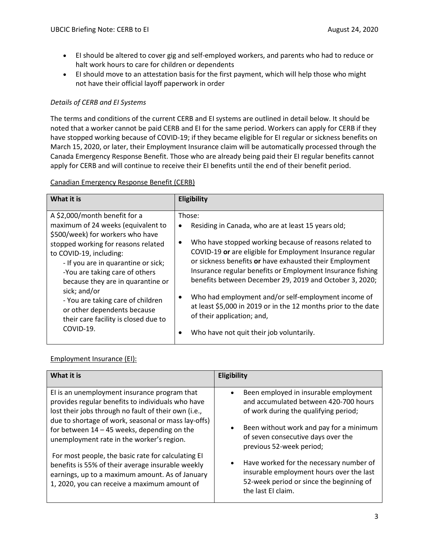- EI should be altered to cover gig and self-employed workers, and parents who had to reduce or halt work hours to care for children or dependents
- EI should move to an attestation basis for the first payment, which will help those who might not have their official layoff paperwork in order

## *Details of CERB and EI Systems*

The terms and conditions of the current CERB and EI systems are outlined in detail below. It should be noted that a worker cannot be paid CERB and EI for the same period. Workers can apply for CERB if they have stopped working because of COVID-19; if they became eligible for EI regular or sickness benefits on March 15, 2020, or later, their Employment Insurance claim will be automatically processed through the Canada Emergency Response Benefit. Those who are already being paid their EI regular benefits cannot apply for CERB and will continue to receive their EI benefits until the end of their benefit period.

## Canadian Emergency Response Benefit (CERB)

| What it is                                                                                                                                                                                                                                                                                                                                                                                                                       | Eligibility                                                                                                                                                                                                                                                                                                                                                                                                                                                                                                                                                                                       |
|----------------------------------------------------------------------------------------------------------------------------------------------------------------------------------------------------------------------------------------------------------------------------------------------------------------------------------------------------------------------------------------------------------------------------------|---------------------------------------------------------------------------------------------------------------------------------------------------------------------------------------------------------------------------------------------------------------------------------------------------------------------------------------------------------------------------------------------------------------------------------------------------------------------------------------------------------------------------------------------------------------------------------------------------|
| A \$2,000/month benefit for a<br>maximum of 24 weeks (equivalent to<br>\$500/week) for workers who have<br>stopped working for reasons related<br>to COVID-19, including:<br>- If you are in quarantine or sick;<br>-You are taking care of others<br>because they are in quarantine or<br>sick; and/or<br>- You are taking care of children<br>or other dependents because<br>their care facility is closed due to<br>COVID-19. | Those:<br>Residing in Canada, who are at least 15 years old;<br>٠<br>Who have stopped working because of reasons related to<br>٠<br>COVID-19 or are eligible for Employment Insurance regular<br>or sickness benefits or have exhausted their Employment<br>Insurance regular benefits or Employment Insurance fishing<br>benefits between December 29, 2019 and October 3, 2020;<br>Who had employment and/or self-employment income of<br>$\bullet$<br>at least \$5,000 in 2019 or in the 12 months prior to the date<br>of their application; and,<br>Who have not quit their job voluntarily. |

## Employment Insurance (EI):

| What it is                                                                                                                                                                                                                                                                                                     | Eligibility                                                                                                                                                                                                                                                    |
|----------------------------------------------------------------------------------------------------------------------------------------------------------------------------------------------------------------------------------------------------------------------------------------------------------------|----------------------------------------------------------------------------------------------------------------------------------------------------------------------------------------------------------------------------------------------------------------|
| El is an unemployment insurance program that<br>provides regular benefits to individuals who have<br>lost their jobs through no fault of their own (i.e.,<br>due to shortage of work, seasonal or mass lay-offs)<br>for between $14 - 45$ weeks, depending on the<br>unemployment rate in the worker's region. | Been employed in insurable employment<br>$\bullet$<br>and accumulated between 420-700 hours<br>of work during the qualifying period;<br>Been without work and pay for a minimum<br>$\bullet$<br>of seven consecutive days over the<br>previous 52-week period; |
| For most people, the basic rate for calculating EI<br>benefits is 55% of their average insurable weekly<br>earnings, up to a maximum amount. As of January<br>1, 2020, you can receive a maximum amount of                                                                                                     | Have worked for the necessary number of<br>$\bullet$<br>insurable employment hours over the last<br>52-week period or since the beginning of<br>the last El claim.                                                                                             |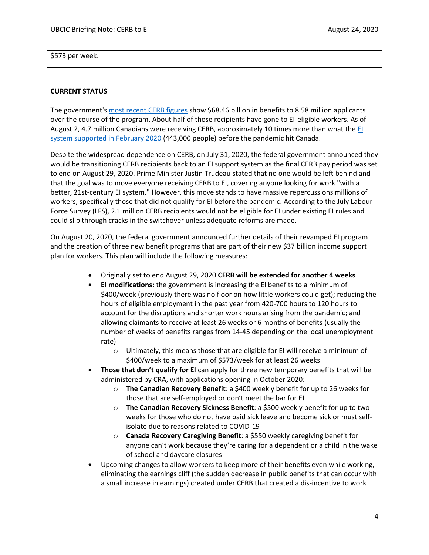# \$573 per week.

## **CURRENT STATUS**

The government's [most recent CERB figures](https://www.canada.ca/en/services/benefits/ei/claims-report.html) show \$68.46 billion in benefits to 8.58 million applicants over the course of the program. About half of those recipients have gone to EI-eligible workers. As of August 2, 4.7 million Canadians were receiving CERB, approximately 10 times more than what the [EI](https://www150.statcan.gc.ca/t1/tbl1/en/tv.action?pid=1410001101)  [system supported in February 2020](https://www150.statcan.gc.ca/t1/tbl1/en/tv.action?pid=1410001101) (443,000 people) before the pandemic hit Canada.

Despite the widespread dependence on CERB, on July 31, 2020, the federal government announced they would be transitioning CERB recipients back to an EI support system as the final CERB pay period was set to end on August 29, 2020. Prime Minister Justin Trudeau stated that no one would be left behind and that the goal was to move everyone receiving CERB to EI, covering anyone looking for work "with a better, 21st-century EI system." However, this move stands to have massive repercussions millions of workers, specifically those that did not qualify for EI before the pandemic. According to the July Labour Force Survey (LFS), 2.1 million CERB recipients would not be eligible for EI under existing EI rules and could slip through cracks in the switchover unless adequate reforms are made.

On August 20, 2020, the federal government announced further details of their revamped EI program and the creation of three new benefit programs that are part of their new \$37 billion income support plan for workers. This plan will include the following measures:

- Originally set to end August 29, 2020 **CERB will be extended for another 4 weeks**
- **EI modifications:** the government is increasing the EI benefits to a minimum of \$400/week (previously there was no floor on how little workers could get); reducing the hours of eligible employment in the past year from 420-700 hours to 120 hours to account for the disruptions and shorter work hours arising from the pandemic; and allowing claimants to receive at least 26 weeks or 6 months of benefits (usually the number of weeks of benefits ranges from 14-45 depending on the local unemployment rate)
	- o Ultimately, this means those that are eligible for EI will receive a minimum of \$400/week to a maximum of \$573/week for at least 26 weeks
- **Those that don't qualify for EI** can apply for three new temporary benefits that will be administered by CRA, with applications opening in October 2020:
	- o **The Canadian Recovery Benefit**: a \$400 weekly benefit for up to 26 weeks for those that are self-employed or don't meet the bar for EI
	- o **The Canadian Recovery Sickness Benefit**: a \$500 weekly benefit for up to two weeks for those who do not have paid sick leave and become sick or must selfisolate due to reasons related to COVID-19
	- o **Canada Recovery Caregiving Benefit**: a \$550 weekly caregiving benefit for anyone can't work because they're caring for a dependent or a child in the wake of school and daycare closures
- Upcoming changes to allow workers to keep more of their benefits even while working, eliminating the earnings cliff (the sudden decrease in public benefits that can occur with a small increase in earnings) created under CERB that created a dis-incentive to work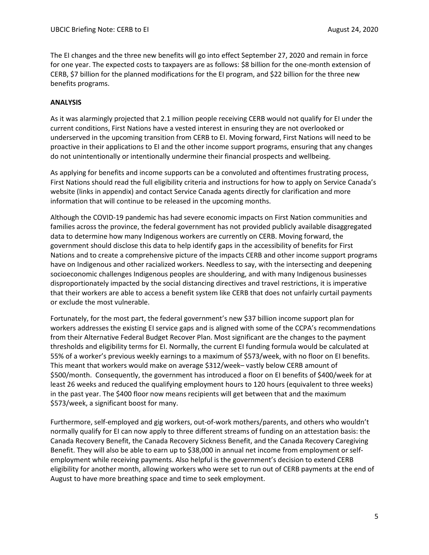The EI changes and the three new benefits will go into effect September 27, 2020 and remain in force for one year. The expected costs to taxpayers are as follows: \$8 billion for the one-month extension of CERB, \$7 billion for the planned modifications for the EI program, and \$22 billion for the three new benefits programs.

## **ANALYSIS**

As it was alarmingly projected that 2.1 million people receiving CERB would not qualify for EI under the current conditions, First Nations have a vested interest in ensuring they are not overlooked or underserved in the upcoming transition from CERB to EI. Moving forward, First Nations will need to be proactive in their applications to EI and the other income support programs, ensuring that any changes do not unintentionally or intentionally undermine their financial prospects and wellbeing.

As applying for benefits and income supports can be a convoluted and oftentimes frustrating process, First Nations should read the full eligibility criteria and instructions for how to apply on Service Canada's website (links in appendix) and contact Service Canada agents directly for clarification and more information that will continue to be released in the upcoming months.

Although the COVID-19 pandemic has had severe economic impacts on First Nation communities and families across the province, the federal government has not provided publicly available disaggregated data to determine how many Indigenous workers are currently on CERB. Moving forward, the government should disclose this data to help identify gaps in the accessibility of benefits for First Nations and to create a comprehensive picture of the impacts CERB and other income support programs have on Indigenous and other racialized workers. Needless to say, with the intersecting and deepening socioeconomic challenges Indigenous peoples are shouldering, and with many Indigenous businesses disproportionately impacted by the social distancing directives and travel restrictions, it is imperative that their workers are able to access a benefit system like CERB that does not unfairly curtail payments or exclude the most vulnerable.

Fortunately, for the most part, the federal government's new \$37 billion income support plan for workers addresses the existing EI service gaps and is aligned with some of the CCPA's recommendations from their Alternative Federal Budget Recover Plan. Most significant are the changes to the payment thresholds and eligibility terms for EI. Normally, the current EI funding formula would be calculated at 55% of a worker's previous weekly earnings to a maximum of \$573/week, with no floor on EI benefits. This meant that workers would make on average \$312/week– vastly below CERB amount of \$500/month. Consequently, the government has introduced a floor on EI benefits of \$400/week for at least 26 weeks and reduced the qualifying employment hours to 120 hours (equivalent to three weeks) in the past year. The \$400 floor now means recipients will get between that and the maximum \$573/week, a significant boost for many.

Furthermore, self-employed and gig workers, out-of-work mothers/parents, and others who wouldn't normally qualify for EI can now apply to three different streams of funding on an attestation basis: the Canada Recovery Benefit, the Canada Recovery Sickness Benefit, and the Canada Recovery Caregiving Benefit. They will also be able to earn up to \$38,000 in annual net income from employment or selfemployment while receiving payments. Also helpful is the government's decision to extend CERB eligibility for another month, allowing workers who were set to run out of CERB payments at the end of August to have more breathing space and time to seek employment.